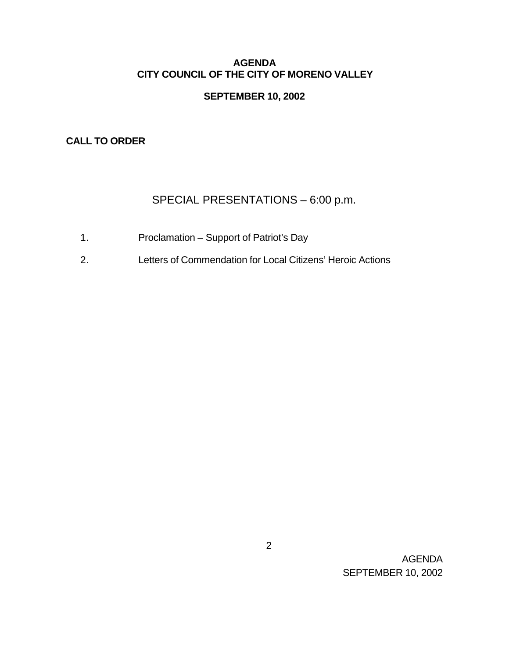### **AGENDA CITY COUNCIL OF THE CITY OF MORENO VALLEY**

# **SEPTEMBER 10, 2002**

### **CALL TO ORDER**

# SPECIAL PRESENTATIONS – 6:00 p.m.

- 1. Proclamation Support of Patriot's Day
- 2. Letters of Commendation for Local Citizens' Heroic Actions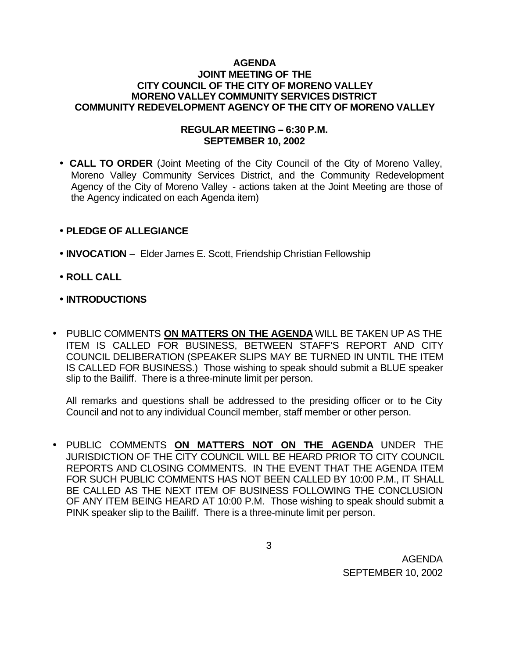#### **AGENDA JOINT MEETING OF THE CITY COUNCIL OF THE CITY OF MORENO VALLEY MORENO VALLEY COMMUNITY SERVICES DISTRICT COMMUNITY REDEVELOPMENT AGENCY OF THE CITY OF MORENO VALLEY**

### **REGULAR MEETING – 6:30 P.M. SEPTEMBER 10, 2002**

• **CALL TO ORDER** (Joint Meeting of the City Council of the City of Moreno Valley, Moreno Valley Community Services District, and the Community Redevelopment Agency of the City of Moreno Valley - actions taken at the Joint Meeting are those of the Agency indicated on each Agenda item)

# • **PLEDGE OF ALLEGIANCE**

- **INVOCATION** Elder James E. Scott, Friendship Christian Fellowship
- **ROLL CALL**
- **INTRODUCTIONS**
- PUBLIC COMMENTS **ON MATTERS ON THE AGENDA** WILL BE TAKEN UP AS THE ITEM IS CALLED FOR BUSINESS, BETWEEN STAFF'S REPORT AND CITY COUNCIL DELIBERATION (SPEAKER SLIPS MAY BE TURNED IN UNTIL THE ITEM IS CALLED FOR BUSINESS.) Those wishing to speak should submit a BLUE speaker slip to the Bailiff. There is a three-minute limit per person.

All remarks and questions shall be addressed to the presiding officer or to the City Council and not to any individual Council member, staff member or other person.

• PUBLIC COMMENTS **ON MATTERS NOT ON THE AGENDA** UNDER THE JURISDICTION OF THE CITY COUNCIL WILL BE HEARD PRIOR TO CITY COUNCIL REPORTS AND CLOSING COMMENTS. IN THE EVENT THAT THE AGENDA ITEM FOR SUCH PUBLIC COMMENTS HAS NOT BEEN CALLED BY 10:00 P.M., IT SHALL BE CALLED AS THE NEXT ITEM OF BUSINESS FOLLOWING THE CONCLUSION OF ANY ITEM BEING HEARD AT 10:00 P.M. Those wishing to speak should submit a PINK speaker slip to the Bailiff. There is a three-minute limit per person.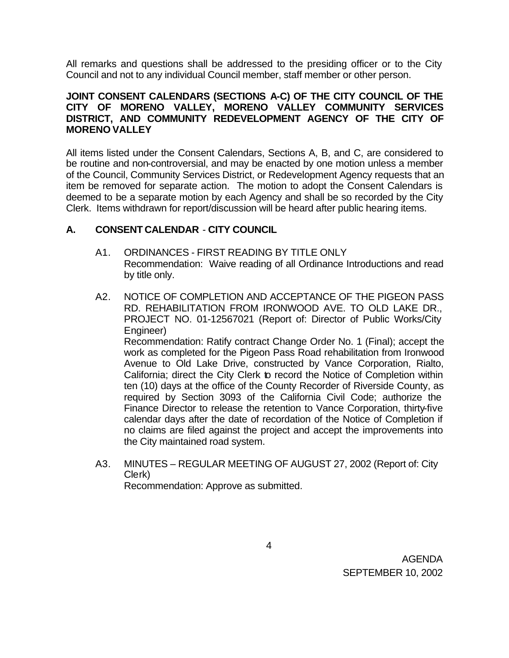All remarks and questions shall be addressed to the presiding officer or to the City Council and not to any individual Council member, staff member or other person.

### **JOINT CONSENT CALENDARS (SECTIONS A-C) OF THE CITY COUNCIL OF THE CITY OF MORENO VALLEY, MORENO VALLEY COMMUNITY SERVICES DISTRICT, AND COMMUNITY REDEVELOPMENT AGENCY OF THE CITY OF MORENO VALLEY**

All items listed under the Consent Calendars, Sections A, B, and C, are considered to be routine and non-controversial, and may be enacted by one motion unless a member of the Council, Community Services District, or Redevelopment Agency requests that an item be removed for separate action. The motion to adopt the Consent Calendars is deemed to be a separate motion by each Agency and shall be so recorded by the City Clerk. Items withdrawn for report/discussion will be heard after public hearing items.

# **A. CONSENT CALENDAR** - **CITY COUNCIL**

- A1. ORDINANCES FIRST READING BY TITLE ONLY Recommendation: Waive reading of all Ordinance Introductions and read by title only.
- A2. NOTICE OF COMPLETION AND ACCEPTANCE OF THE PIGEON PASS RD. REHABILITATION FROM IRONWOOD AVE. TO OLD LAKE DR., PROJECT NO. 01-12567021 (Report of: Director of Public Works/City Engineer) Recommendation: Ratify contract Change Order No. 1 (Final); accept the work as completed for the Pigeon Pass Road rehabilitation from Ironwood Avenue to Old Lake Drive, constructed by Vance Corporation, Rialto, California; direct the City Clerk to record the Notice of Completion within ten (10) days at the office of the County Recorder of Riverside County, as required by Section 3093 of the California Civil Code; authorize the

Finance Director to release the retention to Vance Corporation, thirty-five calendar days after the date of recordation of the Notice of Completion if no claims are filed against the project and accept the improvements into the City maintained road system.

A3. MINUTES – REGULAR MEETING OF AUGUST 27, 2002 (Report of: City Clerk)

Recommendation: Approve as submitted.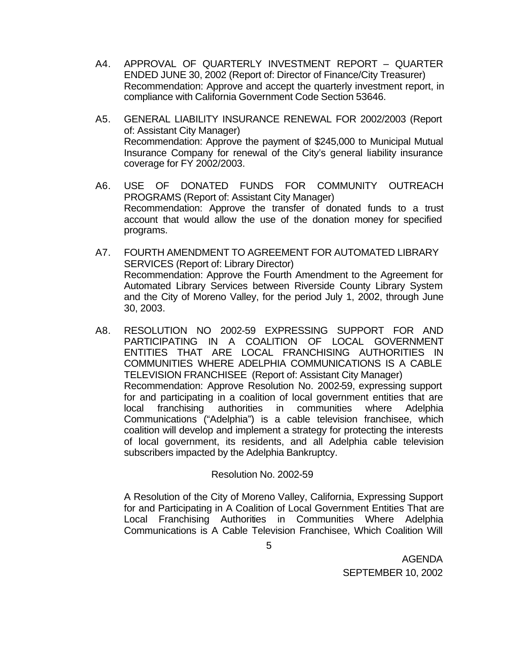- A4. APPROVAL OF QUARTERLY INVESTMENT REPORT QUARTER ENDED JUNE 30, 2002 (Report of: Director of Finance/City Treasurer) Recommendation: Approve and accept the quarterly investment report, in compliance with California Government Code Section 53646.
- A5. GENERAL LIABILITY INSURANCE RENEWAL FOR 2002/2003 (Report of: Assistant City Manager) Recommendation: Approve the payment of \$245,000 to Municipal Mutual Insurance Company for renewal of the City's general liability insurance coverage for FY 2002/2003.
- A6. USE OF DONATED FUNDS FOR COMMUNITY OUTREACH PROGRAMS (Report of: Assistant City Manager) Recommendation: Approve the transfer of donated funds to a trust account that would allow the use of the donation money for specified programs.
- A7. FOURTH AMENDMENT TO AGREEMENT FOR AUTOMATED LIBRARY SERVICES (Report of: Library Director) Recommendation: Approve the Fourth Amendment to the Agreement for Automated Library Services between Riverside County Library System and the City of Moreno Valley, for the period July 1, 2002, through June 30, 2003.
- A8. RESOLUTION NO 2002-59 EXPRESSING SUPPORT FOR AND PARTICIPATING IN A COALITION OF LOCAL GOVERNMENT ENTITIES THAT ARE LOCAL FRANCHISING AUTHORITIES IN COMMUNITIES WHERE ADELPHIA COMMUNICATIONS IS A CABLE TELEVISION FRANCHISEE (Report of: Assistant City Manager) Recommendation: Approve Resolution No. 2002-59, expressing support for and participating in a coalition of local government entities that are local franchising authorities in communities where Adelphia Communications ("Adelphia") is a cable television franchisee, which coalition will develop and implement a strategy for protecting the interests of local government, its residents, and all Adelphia cable television subscribers impacted by the Adelphia Bankruptcy.

# Resolution No. 2002-59

A Resolution of the City of Moreno Valley, California, Expressing Support for and Participating in A Coalition of Local Government Entities That are Local Franchising Authorities in Communities Where Adelphia Communications is A Cable Television Franchisee, Which Coalition Will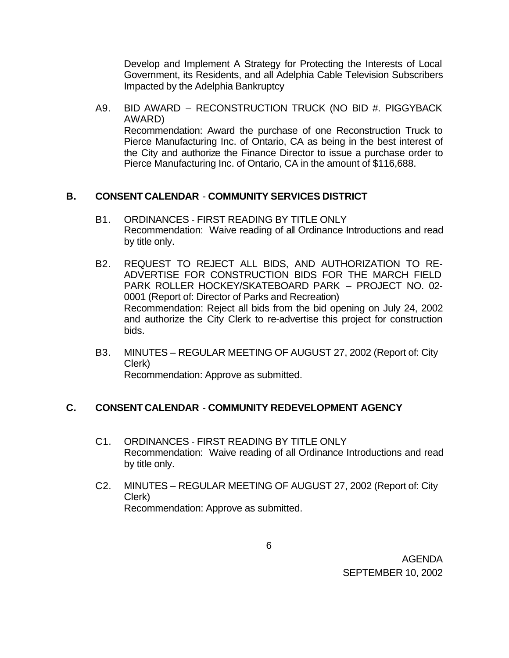Develop and Implement A Strategy for Protecting the Interests of Local Government, its Residents, and all Adelphia Cable Television Subscribers Impacted by the Adelphia Bankruptcy

A9. BID AWARD – RECONSTRUCTION TRUCK (NO BID #. PIGGYBACK AWARD) Recommendation: Award the purchase of one Reconstruction Truck to Pierce Manufacturing Inc. of Ontario, CA as being in the best interest of the City and authorize the Finance Director to issue a purchase order to Pierce Manufacturing Inc. of Ontario, CA in the amount of \$116,688.

### **B. CONSENT CALENDAR** - **COMMUNITY SERVICES DISTRICT**

- B1. ORDINANCES FIRST READING BY TITLE ONLY Recommendation: Waive reading of all Ordinance Introductions and read by title only.
- B2. REQUEST TO REJECT ALL BIDS, AND AUTHORIZATION TO RE-ADVERTISE FOR CONSTRUCTION BIDS FOR THE MARCH FIELD PARK ROLLER HOCKEY/SKATEBOARD PARK – PROJECT NO. 02- 0001 (Report of: Director of Parks and Recreation) Recommendation: Reject all bids from the bid opening on July 24, 2002 and authorize the City Clerk to re-advertise this project for construction bids.
- B3. MINUTES REGULAR MEETING OF AUGUST 27, 2002 (Report of: City Clerk) Recommendation: Approve as submitted.

# **C. CONSENT CALENDAR** - **COMMUNITY REDEVELOPMENT AGENCY**

- C1. ORDINANCES FIRST READING BY TITLE ONLY Recommendation: Waive reading of all Ordinance Introductions and read by title only.
- C2. MINUTES REGULAR MEETING OF AUGUST 27, 2002 (Report of: City Clerk) Recommendation: Approve as submitted.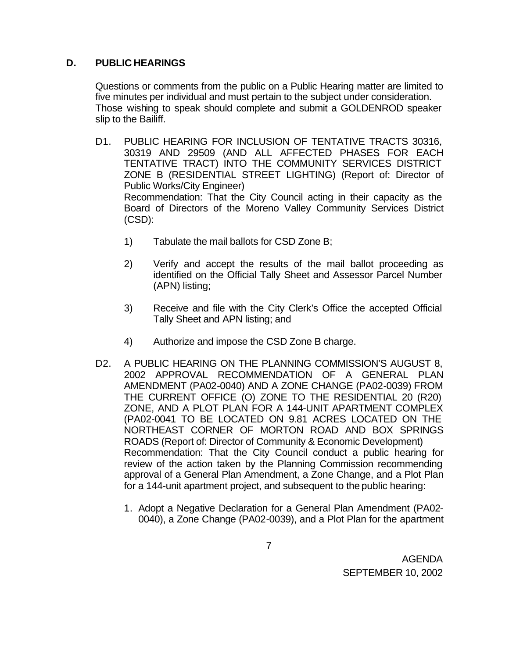# **D. PUBLIC HEARINGS**

Questions or comments from the public on a Public Hearing matter are limited to five minutes per individual and must pertain to the subject under consideration. Those wishing to speak should complete and submit a GOLDENROD speaker slip to the Bailiff.

- D1. PUBLIC HEARING FOR INCLUSION OF TENTATIVE TRACTS 30316, 30319 AND 29509 (AND ALL AFFECTED PHASES FOR EACH TENTATIVE TRACT) INTO THE COMMUNITY SERVICES DISTRICT ZONE B (RESIDENTIAL STREET LIGHTING) (Report of: Director of Public Works/City Engineer) Recommendation: That the City Council acting in their capacity as the Board of Directors of the Moreno Valley Community Services District (CSD):
	- 1) Tabulate the mail ballots for CSD Zone B;
	- 2) Verify and accept the results of the mail ballot proceeding as identified on the Official Tally Sheet and Assessor Parcel Number (APN) listing;
	- 3) Receive and file with the City Clerk's Office the accepted Official Tally Sheet and APN listing; and
	- 4) Authorize and impose the CSD Zone B charge.
- D2. A PUBLIC HEARING ON THE PLANNING COMMISSION'S AUGUST 8, 2002 APPROVAL RECOMMENDATION OF A GENERAL PLAN AMENDMENT (PA02-0040) AND A ZONE CHANGE (PA02-0039) FROM THE CURRENT OFFICE (O) ZONE TO THE RESIDENTIAL 20 (R20) ZONE, AND A PLOT PLAN FOR A 144-UNIT APARTMENT COMPLEX (PA02-0041 TO BE LOCATED ON 9.81 ACRES LOCATED ON THE NORTHEAST CORNER OF MORTON ROAD AND BOX SPRINGS ROADS (Report of: Director of Community & Economic Development) Recommendation: That the City Council conduct a public hearing for review of the action taken by the Planning Commission recommending approval of a General Plan Amendment, a Zone Change, and a Plot Plan for a 144-unit apartment project, and subsequent to the public hearing:
	- 1. Adopt a Negative Declaration for a General Plan Amendment (PA02- 0040), a Zone Change (PA02-0039), and a Plot Plan for the apartment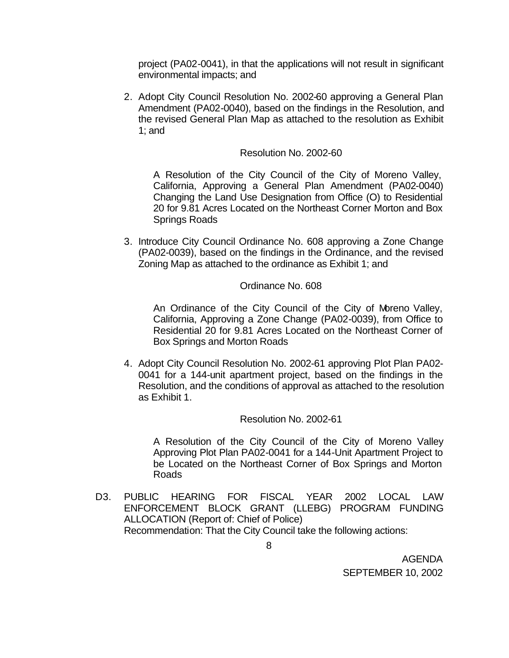project (PA02-0041), in that the applications will not result in significant environmental impacts; and

2. Adopt City Council Resolution No. 2002-60 approving a General Plan Amendment (PA02-0040), based on the findings in the Resolution, and the revised General Plan Map as attached to the resolution as Exhibit 1; and

#### Resolution No. 2002-60

A Resolution of the City Council of the City of Moreno Valley, California, Approving a General Plan Amendment (PA02-0040) Changing the Land Use Designation from Office (O) to Residential 20 for 9.81 Acres Located on the Northeast Corner Morton and Box Springs Roads

3. Introduce City Council Ordinance No. 608 approving a Zone Change (PA02-0039), based on the findings in the Ordinance, and the revised Zoning Map as attached to the ordinance as Exhibit 1; and

#### Ordinance No. 608

An Ordinance of the City Council of the City of Moreno Valley, California, Approving a Zone Change (PA02-0039), from Office to Residential 20 for 9.81 Acres Located on the Northeast Corner of Box Springs and Morton Roads

4. Adopt City Council Resolution No. 2002-61 approving Plot Plan PA02- 0041 for a 144-unit apartment project, based on the findings in the Resolution, and the conditions of approval as attached to the resolution as Exhibit 1.

#### Resolution No. 2002-61

A Resolution of the City Council of the City of Moreno Valley Approving Plot Plan PA02-0041 for a 144-Unit Apartment Project to be Located on the Northeast Corner of Box Springs and Morton Roads

D3. PUBLIC HEARING FOR FISCAL YEAR 2002 LOCAL LAW ENFORCEMENT BLOCK GRANT (LLEBG) PROGRAM FUNDING ALLOCATION (Report of: Chief of Police) Recommendation: That the City Council take the following actions: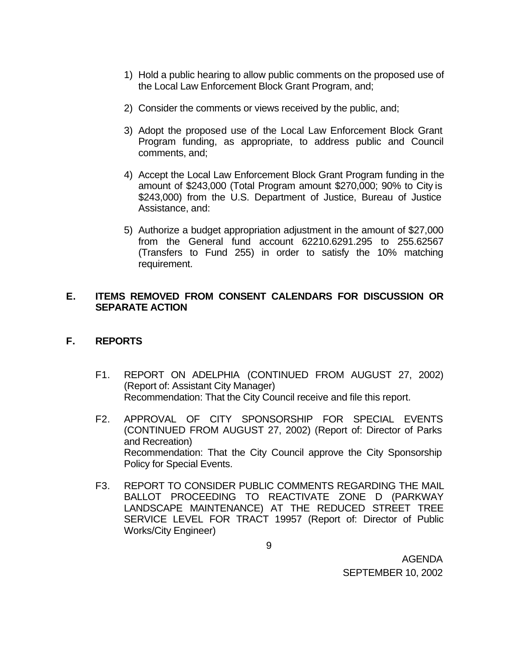- 1) Hold a public hearing to allow public comments on the proposed use of the Local Law Enforcement Block Grant Program, and;
- 2) Consider the comments or views received by the public, and;
- 3) Adopt the proposed use of the Local Law Enforcement Block Grant Program funding, as appropriate, to address public and Council comments, and;
- 4) Accept the Local Law Enforcement Block Grant Program funding in the amount of \$243,000 (Total Program amount \$270,000; 90% to City is \$243,000) from the U.S. Department of Justice, Bureau of Justice Assistance, and:
- 5) Authorize a budget appropriation adjustment in the amount of \$27,000 from the General fund account 62210.6291.295 to 255.62567 (Transfers to Fund 255) in order to satisfy the 10% matching requirement.

# **E. ITEMS REMOVED FROM CONSENT CALENDARS FOR DISCUSSION OR SEPARATE ACTION**

# **F. REPORTS**

- F1. REPORT ON ADELPHIA (CONTINUED FROM AUGUST 27, 2002) (Report of: Assistant City Manager) Recommendation: That the City Council receive and file this report.
- F2. APPROVAL OF CITY SPONSORSHIP FOR SPECIAL EVENTS (CONTINUED FROM AUGUST 27, 2002) (Report of: Director of Parks and Recreation) Recommendation: That the City Council approve the City Sponsorship Policy for Special Events.
- F3. REPORT TO CONSIDER PUBLIC COMMENTS REGARDING THE MAIL BALLOT PROCEEDING TO REACTIVATE ZONE D (PARKWAY LANDSCAPE MAINTENANCE) AT THE REDUCED STREET TREE SERVICE LEVEL FOR TRACT 19957 (Report of: Director of Public Works/City Engineer)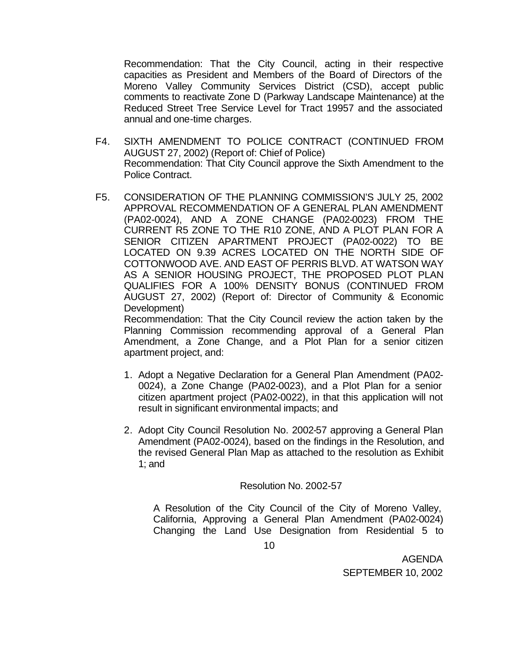Recommendation: That the City Council, acting in their respective capacities as President and Members of the Board of Directors of the Moreno Valley Community Services District (CSD), accept public comments to reactivate Zone D (Parkway Landscape Maintenance) at the Reduced Street Tree Service Level for Tract 19957 and the associated annual and one-time charges.

- F4. SIXTH AMENDMENT TO POLICE CONTRACT (CONTINUED FROM AUGUST 27, 2002) (Report of: Chief of Police) Recommendation: That City Council approve the Sixth Amendment to the Police Contract.
- F5. CONSIDERATION OF THE PLANNING COMMISSION'S JULY 25, 2002 APPROVAL RECOMMENDATION OF A GENERAL PLAN AMENDMENT (PA02-0024), AND A ZONE CHANGE (PA02-0023) FROM THE CURRENT R5 ZONE TO THE R10 ZONE, AND A PLOT PLAN FOR A SENIOR CITIZEN APARTMENT PROJECT (PA02-0022) TO BE LOCATED ON 9.39 ACRES LOCATED ON THE NORTH SIDE OF COTTONWOOD AVE. AND EAST OF PERRIS BLVD. AT WATSON WAY AS A SENIOR HOUSING PROJECT, THE PROPOSED PLOT PLAN QUALIFIES FOR A 100% DENSITY BONUS (CONTINUED FROM AUGUST 27, 2002) (Report of: Director of Community & Economic Development)

Recommendation: That the City Council review the action taken by the Planning Commission recommending approval of a General Plan Amendment, a Zone Change, and a Plot Plan for a senior citizen apartment project, and:

- 1. Adopt a Negative Declaration for a General Plan Amendment (PA02- 0024), a Zone Change (PA02-0023), and a Plot Plan for a senior citizen apartment project (PA02-0022), in that this application will not result in significant environmental impacts; and
- 2. Adopt City Council Resolution No. 2002-57 approving a General Plan Amendment (PA02-0024), based on the findings in the Resolution, and the revised General Plan Map as attached to the resolution as Exhibit 1; and

#### Resolution No. 2002-57

A Resolution of the City Council of the City of Moreno Valley, California, Approving a General Plan Amendment (PA02-0024) Changing the Land Use Designation from Residential 5 to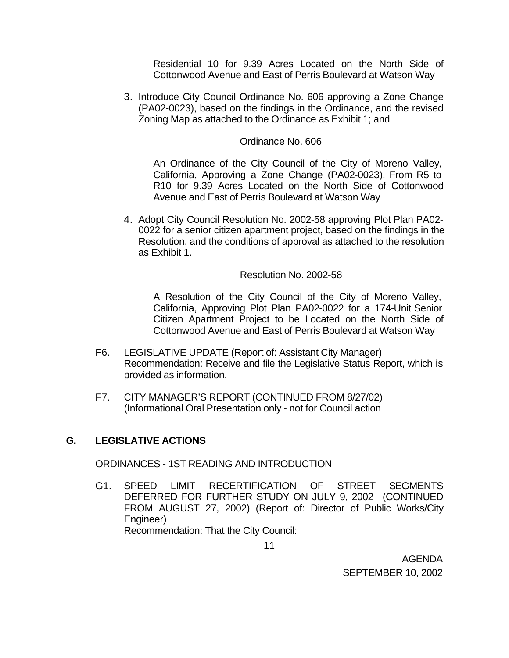Residential 10 for 9.39 Acres Located on the North Side of Cottonwood Avenue and East of Perris Boulevard at Watson Way

3. Introduce City Council Ordinance No. 606 approving a Zone Change (PA02-0023), based on the findings in the Ordinance, and the revised Zoning Map as attached to the Ordinance as Exhibit 1; and

#### Ordinance No. 606

An Ordinance of the City Council of the City of Moreno Valley, California, Approving a Zone Change (PA02-0023), From R5 to R10 for 9.39 Acres Located on the North Side of Cottonwood Avenue and East of Perris Boulevard at Watson Way

4. Adopt City Council Resolution No. 2002-58 approving Plot Plan PA02- 0022 for a senior citizen apartment project, based on the findings in the Resolution, and the conditions of approval as attached to the resolution as Exhibit 1.

#### Resolution No. 2002-58

A Resolution of the City Council of the City of Moreno Valley, California, Approving Plot Plan PA02-0022 for a 174-Unit Senior Citizen Apartment Project to be Located on the North Side of Cottonwood Avenue and East of Perris Boulevard at Watson Way

- F6. LEGISLATIVE UPDATE (Report of: Assistant City Manager) Recommendation: Receive and file the Legislative Status Report, which is provided as information.
- F7. CITY MANAGER'S REPORT (CONTINUED FROM 8/27/02) (Informational Oral Presentation only - not for Council action

#### **G. LEGISLATIVE ACTIONS**

ORDINANCES - 1ST READING AND INTRODUCTION

G1. SPEED LIMIT RECERTIFICATION OF STREET SEGMENTS DEFERRED FOR FURTHER STUDY ON JULY 9, 2002 (CONTINUED FROM AUGUST 27, 2002) (Report of: Director of Public Works/City Engineer) Recommendation: That the City Council: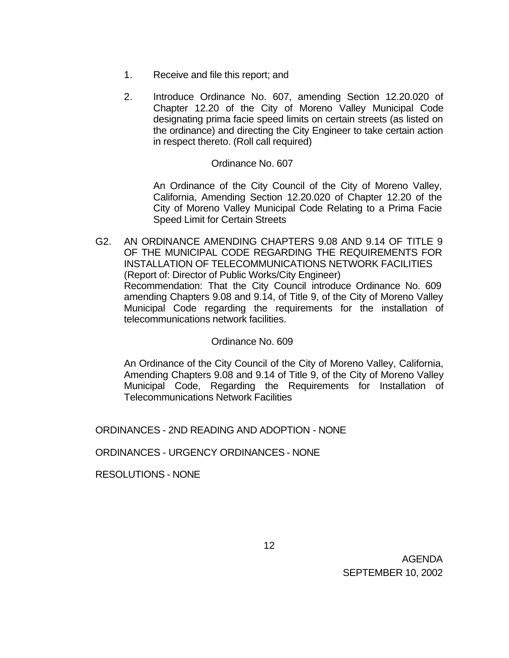- 1. Receive and file this report; and
- 2. Introduce Ordinance No. 607, amending Section 12.20.020 of Chapter 12.20 of the City of Moreno Valley Municipal Code designating prima facie speed limits on certain streets (as listed on the ordinance) and directing the City Engineer to take certain action in respect thereto. (Roll call required)

#### Ordinance No. 607

An Ordinance of the City Council of the City of Moreno Valley, California, Amending Section 12.20.020 of Chapter 12.20 of the City of Moreno Valley Municipal Code Relating to a Prima Facie Speed Limit for Certain Streets

G2. AN ORDINANCE AMENDING CHAPTERS 9.08 AND 9.14 OF TITLE 9 OF THE MUNICIPAL CODE REGARDING THE REQUIREMENTS FOR INSTALLATION OF TELECOMMUNICATIONS NETWORK FACILITIES (Report of: Director of Public Works/City Engineer) Recommendation: That the City Council introduce Ordinance No. 609 amending Chapters 9.08 and 9.14, of Title 9, of the City of Moreno Valley Municipal Code regarding the requirements for the installation of telecommunications network facilities.

#### Ordinance No. 609

An Ordinance of the City Council of the City of Moreno Valley, California, Amending Chapters 9.08 and 9.14 of Title 9, of the City of Moreno Valley Municipal Code, Regarding the Requirements for Installation of Telecommunications Network Facilities

ORDINANCES - 2ND READING AND ADOPTION - NONE

ORDINANCES - URGENCY ORDINANCES - NONE

RESOLUTIONS - NONE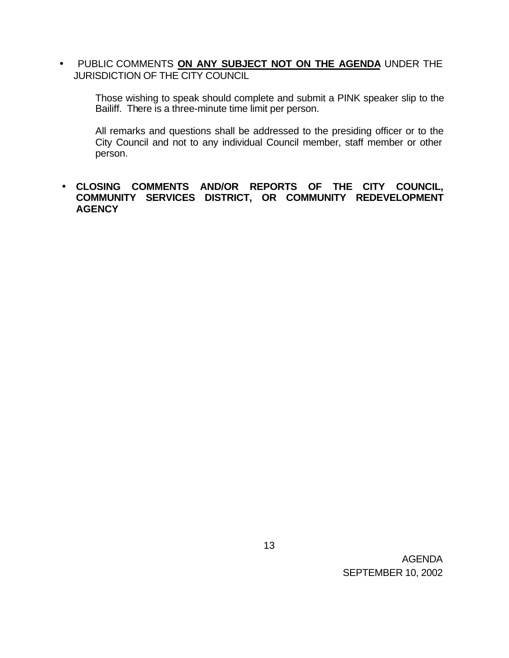• PUBLIC COMMENTS **ON ANY SUBJECT NOT ON THE AGENDA** UNDER THE JURISDICTION OF THE CITY COUNCIL

Those wishing to speak should complete and submit a PINK speaker slip to the Bailiff. There is a three-minute time limit per person.

All remarks and questions shall be addressed to the presiding officer or to the City Council and not to any individual Council member, staff member or other person.

# • **CLOSING COMMENTS AND/OR REPORTS OF THE CITY COUNCIL, COMMUNITY SERVICES DISTRICT, OR COMMUNITY REDEVELOPMENT AGENCY**